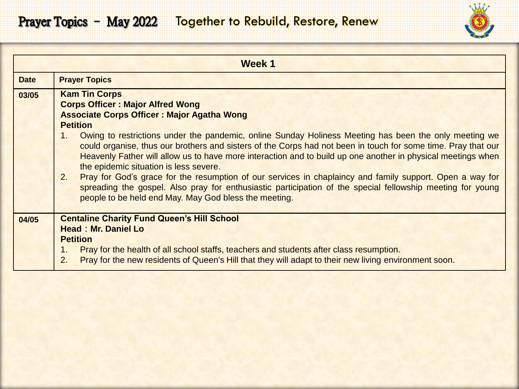

|             | Week 1                                                                                                                                                                                                                                                                                                                                                                                                                                                                                                                                                                                                                                                                                                                                                                                                                     |
|-------------|----------------------------------------------------------------------------------------------------------------------------------------------------------------------------------------------------------------------------------------------------------------------------------------------------------------------------------------------------------------------------------------------------------------------------------------------------------------------------------------------------------------------------------------------------------------------------------------------------------------------------------------------------------------------------------------------------------------------------------------------------------------------------------------------------------------------------|
| <b>Date</b> | <b>Prayer Topics</b>                                                                                                                                                                                                                                                                                                                                                                                                                                                                                                                                                                                                                                                                                                                                                                                                       |
| 03/05       | <b>Kam Tin Corps</b><br><b>Corps Officer: Major Alfred Wong</b><br><b>Associate Corps Officer: Major Agatha Wong</b><br><b>Petition</b><br>Owing to restrictions under the pandemic, online Sunday Holiness Meeting has been the only meeting we<br>1.<br>could organise, thus our brothers and sisters of the Corps had not been in touch for some time. Pray that our<br>Heavenly Father will allow us to have more interaction and to build up one another in physical meetings when<br>the epidemic situation is less severe.<br>2.<br>Pray for God's grace for the resumption of our services in chaplaincy and family support. Open a way for<br>spreading the gospel. Also pray for enthusiastic participation of the special fellowship meeting for young<br>people to be held end May. May God bless the meeting. |
| 04/05       | <b>Centaline Charity Fund Queen's Hill School</b><br><b>Head: Mr. Daniel Lo</b><br><b>Petition</b><br>Pray for the health of all school staffs, teachers and students after class resumption.<br>1.<br>Pray for the new residents of Queen's Hill that they will adapt to their new living environment soon.<br>2.                                                                                                                                                                                                                                                                                                                                                                                                                                                                                                         |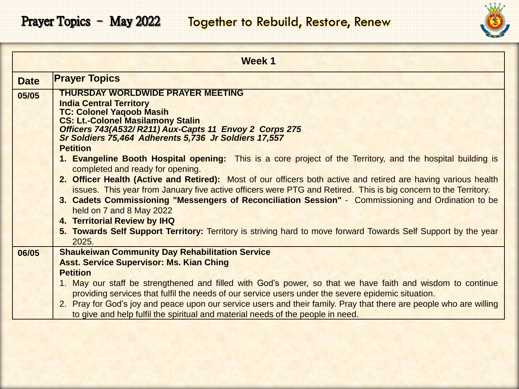

|             | <b>Week 1</b>                                                                                                                                   |
|-------------|-------------------------------------------------------------------------------------------------------------------------------------------------|
| <b>Date</b> | <b>Prayer Topics</b>                                                                                                                            |
| 05/05       | <b>THURSDAY WORLDWIDE PRAYER MEETING</b>                                                                                                        |
|             | <b>India Central Territory</b>                                                                                                                  |
|             | <b>TC: Colonel Yaqoob Masih</b><br><b>CS: Lt.-Colonel Masilamony Stalin</b>                                                                     |
|             | Officers 743(A532/R211) Aux-Capts 11 Envoy 2 Corps 275                                                                                          |
|             | Sr Soldiers 75,464 Adherents 5,736 Jr Soldiers 17,557                                                                                           |
|             | <b>Petition</b>                                                                                                                                 |
|             | 1. Evangeline Booth Hospital opening: This is a core project of the Territory, and the hospital building is<br>completed and ready for opening. |
|             | 2. Officer Health (Active and Retired): Most of our officers both active and retired are having various health                                  |
|             | issues. This year from January five active officers were PTG and Retired. This is big concern to the Territory.                                 |
|             | 3. Cadets Commissioning "Messengers of Reconciliation Session" - Commissioning and Ordination to be                                             |
|             | held on 7 and 8 May 2022                                                                                                                        |
|             | 4. Territorial Review by IHQ                                                                                                                    |
|             | 5. Towards Self Support Territory: Territory is striving hard to move forward Towards Self Support by the year                                  |
|             | 2025.                                                                                                                                           |
| 06/05       | <b>Shaukeiwan Community Day Rehabilitation Service</b><br><b>Asst. Service Supervisor: Ms. Kian Ching</b>                                       |
|             | <b>Petition</b>                                                                                                                                 |
|             | 1. May our staff be strengthened and filled with God's power, so that we have faith and wisdom to continue                                      |
|             | providing services that fulfil the needs of our service users under the severe epidemic situation.                                              |
|             | 2. Pray for God's joy and peace upon our service users and their family. Pray that there are people who are willing                             |
|             | to give and help fulfil the spiritual and material needs of the people in need.                                                                 |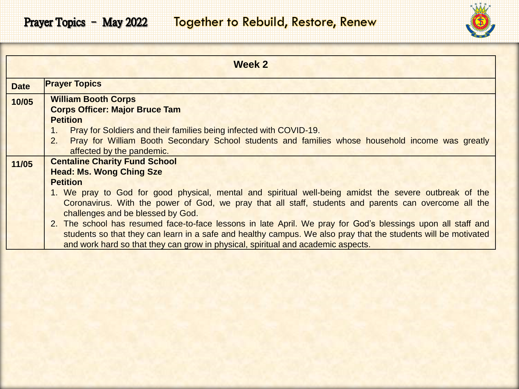

|             | Week 2                                                                                                                                                                                                                                                                                                                                                                                                                                                                                                                                                                                                                                                                   |
|-------------|--------------------------------------------------------------------------------------------------------------------------------------------------------------------------------------------------------------------------------------------------------------------------------------------------------------------------------------------------------------------------------------------------------------------------------------------------------------------------------------------------------------------------------------------------------------------------------------------------------------------------------------------------------------------------|
| <b>Date</b> | <b>Prayer Topics</b>                                                                                                                                                                                                                                                                                                                                                                                                                                                                                                                                                                                                                                                     |
| 10/05       | <b>William Booth Corps</b><br><b>Corps Officer: Major Bruce Tam</b><br><b>Petition</b><br>Pray for Soldiers and their families being infected with COVID-19.<br>Pray for William Booth Secondary School students and families whose household income was greatly<br>2.<br>affected by the pandemic.                                                                                                                                                                                                                                                                                                                                                                      |
| 11/05       | <b>Centaline Charity Fund School</b><br><b>Head: Ms. Wong Ching Sze</b><br><b>Petition</b><br>1. We pray to God for good physical, mental and spiritual well-being amidst the severe outbreak of the<br>Coronavirus. With the power of God, we pray that all staff, students and parents can overcome all the<br>challenges and be blessed by God.<br>2. The school has resumed face-to-face lessons in late April. We pray for God's blessings upon all staff and<br>students so that they can learn in a safe and healthy campus. We also pray that the students will be motivated<br>and work hard so that they can grow in physical, spiritual and academic aspects. |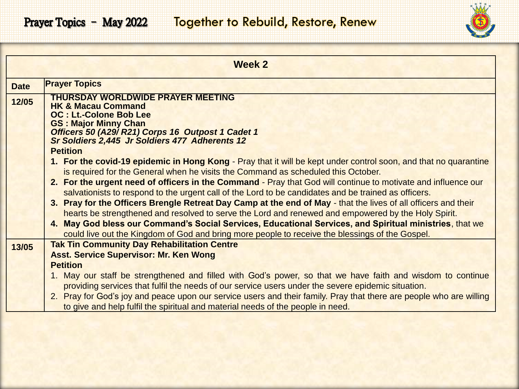

|             | <b>Week 2</b>                                                                                                       |
|-------------|---------------------------------------------------------------------------------------------------------------------|
| <b>Date</b> | <b>Prayer Topics</b>                                                                                                |
| 12/05       | <b>THURSDAY WORLDWIDE PRAYER MEETING</b><br><b>HK &amp; Macau Command</b><br><b>OC: Lt.-Colone Bob Lee</b>          |
|             | <b>GS: Major Minny Chan</b><br>Officers 50 (A29/R21) Corps 16 Outpost 1 Cadet 1                                     |
|             | Sr Soldiers 2,445 Jr Soldiers 477 Adherents 12                                                                      |
|             | <b>Petition</b>                                                                                                     |
|             | 1. For the covid-19 epidemic in Hong Kong - Pray that it will be kept under control soon, and that no quarantine    |
|             | is required for the General when he visits the Command as scheduled this October.                                   |
|             | 2. For the urgent need of officers in the Command - Pray that God will continue to motivate and influence our       |
|             | salvationists to respond to the urgent call of the Lord to be candidates and be trained as officers.                |
|             | 3. Pray for the Officers Brengle Retreat Day Camp at the end of May - that the lives of all officers and their      |
|             | hearts be strengthened and resolved to serve the Lord and renewed and empowered by the Holy Spirit.                 |
|             | 4. May God bless our Command's Social Services, Educational Services, and Spiritual ministries, that we             |
|             | could live out the Kingdom of God and bring more people to receive the blessings of the Gospel.                     |
| 13/05       | <b>Tak Tin Community Day Rehabilitation Centre</b>                                                                  |
|             | <b>Asst. Service Supervisor: Mr. Ken Wong</b>                                                                       |
|             | <b>Petition</b>                                                                                                     |
|             | 1. May our staff be strengthened and filled with God's power, so that we have faith and wisdom to continue          |
|             | providing services that fulfil the needs of our service users under the severe epidemic situation.                  |
|             | 2. Pray for God's joy and peace upon our service users and their family. Pray that there are people who are willing |
|             | to give and help fulfil the spiritual and material needs of the people in need.                                     |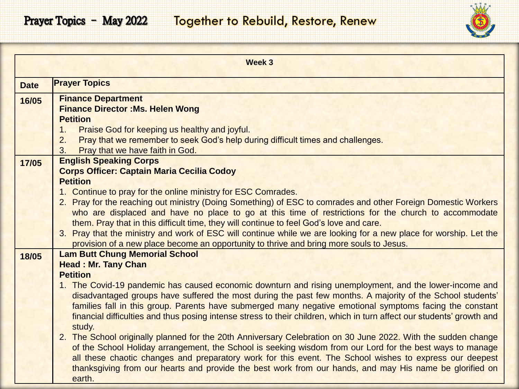

|             | <b>Week 3</b>                                                                                                                                                                                                      |
|-------------|--------------------------------------------------------------------------------------------------------------------------------------------------------------------------------------------------------------------|
| <b>Date</b> | <b>Prayer Topics</b>                                                                                                                                                                                               |
| 16/05       | <b>Finance Department</b>                                                                                                                                                                                          |
|             | <b>Finance Director : Ms. Helen Wong</b>                                                                                                                                                                           |
|             | <b>Petition</b>                                                                                                                                                                                                    |
|             | Praise God for keeping us healthy and joyful.<br>1.                                                                                                                                                                |
|             | Pray that we remember to seek God's help during difficult times and challenges.<br>2.<br>Pray that we have faith in God.<br>3.                                                                                     |
| 17/05       | <b>English Speaking Corps</b>                                                                                                                                                                                      |
|             | <b>Corps Officer: Captain Maria Cecilia Codoy</b>                                                                                                                                                                  |
|             | <b>Petition</b>                                                                                                                                                                                                    |
|             | 1. Continue to pray for the online ministry for ESC Comrades.                                                                                                                                                      |
|             | 2. Pray for the reaching out ministry (Doing Something) of ESC to comrades and other Foreign Domestic Workers                                                                                                      |
|             | who are displaced and have no place to go at this time of restrictions for the church to accommodate                                                                                                               |
|             | them. Pray that in this difficult time, they will continue to feel God's love and care.                                                                                                                            |
|             | 3. Pray that the ministry and work of ESC will continue while we are looking for a new place for worship. Let the                                                                                                  |
|             | provision of a new place become an opportunity to thrive and bring more souls to Jesus.<br><b>Lam Butt Chung Memorial School</b>                                                                                   |
| 18/05       | <b>Head: Mr. Tany Chan</b>                                                                                                                                                                                         |
|             | <b>Petition</b>                                                                                                                                                                                                    |
|             | 1. The Covid-19 pandemic has caused economic downturn and rising unemployment, and the lower-income and                                                                                                            |
|             | disadvantaged groups have suffered the most during the past few months. A majority of the School students'                                                                                                         |
|             | families fall in this group. Parents have submerged many negative emotional symptoms facing the constant                                                                                                           |
|             | financial difficulties and thus posing intense stress to their children, which in turn affect our students' growth and                                                                                             |
|             | study.                                                                                                                                                                                                             |
|             | 2. The School originally planned for the 20th Anniversary Celebration on 30 June 2022. With the sudden change                                                                                                      |
|             | of the School Holiday arrangement, the School is seeking wisdom from our Lord for the best ways to manage                                                                                                          |
|             | all these chaotic changes and preparatory work for this event. The School wishes to express our deepest<br>thanksgiving from our hearts and provide the best work from our hands, and may His name be glorified on |
|             | earth.                                                                                                                                                                                                             |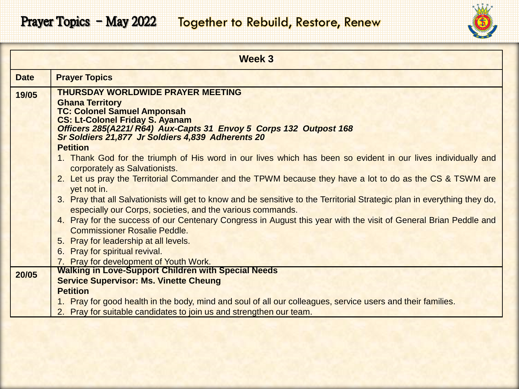

|             | Week 3                                                                                                                                                                                  |
|-------------|-----------------------------------------------------------------------------------------------------------------------------------------------------------------------------------------|
| <b>Date</b> | <b>Prayer Topics</b>                                                                                                                                                                    |
| 19/05       | <b>THURSDAY WORLDWIDE PRAYER MEETING</b><br><b>Ghana Territory</b><br><b>TC: Colonel Samuel Amponsah</b><br><b>CS: Lt-Colonel Friday S. Ayanam</b>                                      |
|             | Officers 285(A221/ R64) Aux-Capts 31 Envoy 5 Corps 132 Outpost 168<br>Sr Soldiers 21,877 Jr Soldiers 4,839 Adherents 20                                                                 |
|             | <b>Petition</b>                                                                                                                                                                         |
|             | 1. Thank God for the triumph of His word in our lives which has been so evident in our lives individually and<br>corporately as Salvationists.                                          |
|             | 2. Let us pray the Territorial Commander and the TPWM because they have a lot to do as the CS & TSWM are<br>yet not in.                                                                 |
|             | 3. Pray that all Salvationists will get to know and be sensitive to the Territorial Strategic plan in everything they do,<br>especially our Corps, societies, and the various commands. |
|             | 4. Pray for the success of our Centenary Congress in August this year with the visit of General Brian Peddle and<br><b>Commissioner Rosalie Peddle.</b>                                 |
|             | 5. Pray for leadership at all levels.                                                                                                                                                   |
|             | 6. Pray for spiritual revival.                                                                                                                                                          |
| 20/05       | 7. Pray for development of Youth Work.<br><b>Walking in Love-Support Children with Special Needs</b>                                                                                    |
|             | <b>Service Supervisor: Ms. Vinette Cheung</b>                                                                                                                                           |
|             | <b>Petition</b>                                                                                                                                                                         |
|             | 1. Pray for good health in the body, mind and soul of all our colleagues, service users and their families.                                                                             |
|             | 2. Pray for suitable candidates to join us and strengthen our team.                                                                                                                     |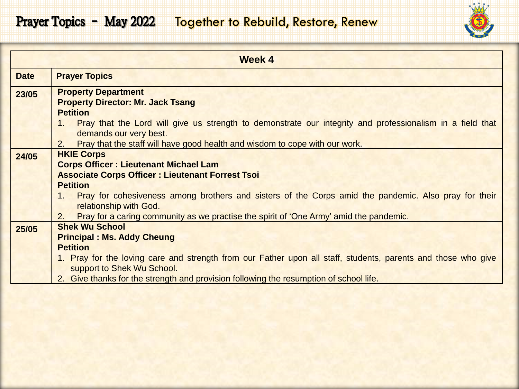## Prayer Topics - May 2022 Together to Rebuild, Restore, Renew



| <b>Week 4</b> |                                                                                                                             |
|---------------|-----------------------------------------------------------------------------------------------------------------------------|
| <b>Date</b>   | <b>Prayer Topics</b>                                                                                                        |
| 23/05         | <b>Property Department</b>                                                                                                  |
|               | <b>Property Director: Mr. Jack Tsang</b>                                                                                    |
|               | <b>Petition</b>                                                                                                             |
|               | Pray that the Lord will give us strength to demonstrate our integrity and professionalism in a field that<br>1 <sup>1</sup> |
|               | demands our very best.                                                                                                      |
|               | Pray that the staff will have good health and wisdom to cope with our work.<br>2.                                           |
| 24/05         | <b>HKIE Corps</b>                                                                                                           |
|               | <b>Corps Officer: Lieutenant Michael Lam</b>                                                                                |
|               | <b>Associate Corps Officer: Lieutenant Forrest Tsoi</b>                                                                     |
|               | <b>Petition</b>                                                                                                             |
|               | Pray for cohesiveness among brothers and sisters of the Corps amid the pandemic. Also pray for their<br>1.                  |
|               | relationship with God.                                                                                                      |
|               | 2.<br>Pray for a caring community as we practise the spirit of 'One Army' amid the pandemic.                                |
| 25/05         | <b>Shek Wu School</b>                                                                                                       |
|               | <b>Principal : Ms. Addy Cheung</b>                                                                                          |
|               | <b>Petition</b>                                                                                                             |
|               | 1. Pray for the loving care and strength from our Father upon all staff, students, parents and those who give               |
|               | support to Shek Wu School.                                                                                                  |
|               | 2. Give thanks for the strength and provision following the resumption of school life.                                      |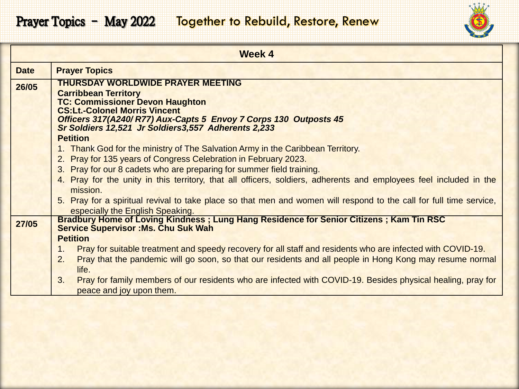

| <b>Week 4</b> |                                                                                                                                                                                                                                                                                                                                                                                                                                                                                                                                                          |
|---------------|----------------------------------------------------------------------------------------------------------------------------------------------------------------------------------------------------------------------------------------------------------------------------------------------------------------------------------------------------------------------------------------------------------------------------------------------------------------------------------------------------------------------------------------------------------|
| <b>Date</b>   | <b>Prayer Topics</b>                                                                                                                                                                                                                                                                                                                                                                                                                                                                                                                                     |
| 26/05         | <b>THURSDAY WORLDWIDE PRAYER MEETING</b><br><b>Carribbean Territory</b><br><b>TC: Commissioner Devon Haughton</b><br><b>CS:Lt.-Colonel Morris Vincent</b><br>Officers 317(A240/R77) Aux-Capts 5 Envoy 7 Corps 130 Outposts 45<br>Sr Soldiers 12,521 Jr Soldiers3,557 Adherents 2,233                                                                                                                                                                                                                                                                     |
|               | <b>Petition</b><br>1. Thank God for the ministry of The Salvation Army in the Caribbean Territory.<br>2. Pray for 135 years of Congress Celebration in February 2023.<br>3. Pray for our 8 cadets who are preparing for summer field training.<br>4. Pray for the unity in this territory, that all officers, soldiers, adherents and employees feel included in the<br>mission.<br>5. Pray for a spiritual revival to take place so that men and women will respond to the call for full time service,<br>especially the English Speaking.              |
| 27/05         | Bradbury Home of Loving Kindness; Lung Hang Residence for Senior Citizens; Kam Tin RSC<br><b>Service Supervisor: Ms. Chu Suk Wah</b><br><b>Petition</b><br>Pray for suitable treatment and speedy recovery for all staff and residents who are infected with COVID-19.<br>1.<br>Pray that the pandemic will go soon, so that our residents and all people in Hong Kong may resume normal<br>2.<br>life.<br>Pray for family members of our residents who are infected with COVID-19. Besides physical healing, pray for<br>3.<br>peace and joy upon them. |